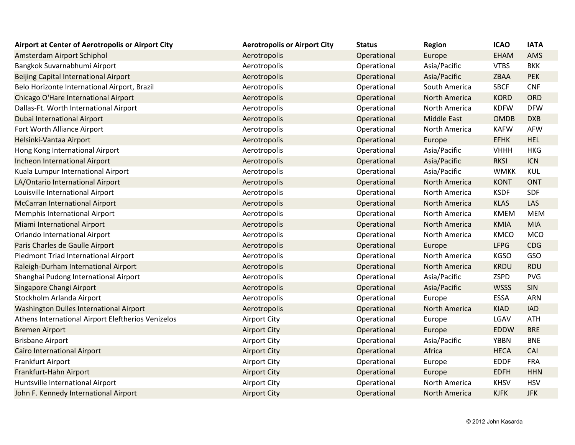| Airport at Center of Aerotropolis or Airport City  | <b>Aerotropolis or Airport City</b> | <b>Status</b> | <b>Region</b>        | <b>ICAO</b> | <b>IATA</b> |
|----------------------------------------------------|-------------------------------------|---------------|----------------------|-------------|-------------|
| Amsterdam Airport Schiphol                         | Aerotropolis                        | Operational   | Europe               | <b>EHAM</b> | AMS         |
| Bangkok Suvarnabhumi Airport                       | Aerotropolis                        | Operational   | Asia/Pacific         | <b>VTBS</b> | <b>BKK</b>  |
| Beijing Capital International Airport              | Aerotropolis                        | Operational   | Asia/Pacific         | ZBAA        | <b>PEK</b>  |
| Belo Horizonte International Airport, Brazil       | Aerotropolis                        | Operational   | South America        | <b>SBCF</b> | <b>CNF</b>  |
| Chicago O'Hare International Airport               | Aerotropolis                        | Operational   | <b>North America</b> | <b>KORD</b> | ORD         |
| Dallas-Ft. Worth International Airport             | Aerotropolis                        | Operational   | North America        | <b>KDFW</b> | <b>DFW</b>  |
| <b>Dubai International Airport</b>                 | Aerotropolis                        | Operational   | <b>Middle East</b>   | <b>OMDB</b> | <b>DXB</b>  |
| Fort Worth Alliance Airport                        | Aerotropolis                        | Operational   | North America        | <b>KAFW</b> | <b>AFW</b>  |
| Helsinki-Vantaa Airport                            | Aerotropolis                        | Operational   | Europe               | <b>EFHK</b> | <b>HEL</b>  |
| Hong Kong International Airport                    | Aerotropolis                        | Operational   | Asia/Pacific         | <b>VHHH</b> | <b>HKG</b>  |
| Incheon International Airport                      | Aerotropolis                        | Operational   | Asia/Pacific         | <b>RKSI</b> | ICN         |
| Kuala Lumpur International Airport                 | Aerotropolis                        | Operational   | Asia/Pacific         | <b>WMKK</b> | <b>KUL</b>  |
| LA/Ontario International Airport                   | Aerotropolis                        | Operational   | <b>North America</b> | <b>KONT</b> | <b>ONT</b>  |
| Louisville International Airport                   | Aerotropolis                        | Operational   | North America        | <b>KSDF</b> | <b>SDF</b>  |
| <b>McCarran International Airport</b>              | Aerotropolis                        | Operational   | <b>North America</b> | <b>KLAS</b> | LAS         |
| Memphis International Airport                      | Aerotropolis                        | Operational   | North America        | <b>KMEM</b> | <b>MEM</b>  |
| Miami International Airport                        | Aerotropolis                        | Operational   | <b>North America</b> | KMIA        | <b>MIA</b>  |
| <b>Orlando International Airport</b>               | Aerotropolis                        | Operational   | North America        | <b>KMCO</b> | <b>MCO</b>  |
| Paris Charles de Gaulle Airport                    | Aerotropolis                        | Operational   | Europe               | <b>LFPG</b> | <b>CDG</b>  |
| Piedmont Triad International Airport               | Aerotropolis                        | Operational   | North America        | <b>KGSO</b> | GSO         |
| Raleigh-Durham International Airport               | Aerotropolis                        | Operational   | <b>North America</b> | <b>KRDU</b> | <b>RDU</b>  |
| Shanghai Pudong International Airport              | Aerotropolis                        | Operational   | Asia/Pacific         | <b>ZSPD</b> | <b>PVG</b>  |
| Singapore Changi Airport                           | Aerotropolis                        | Operational   | Asia/Pacific         | <b>WSSS</b> | SIN         |
| Stockholm Arlanda Airport                          | Aerotropolis                        | Operational   | Europe               | ESSA        | <b>ARN</b>  |
| Washington Dulles International Airport            | Aerotropolis                        | Operational   | <b>North America</b> | <b>KIAD</b> | <b>IAD</b>  |
| Athens International Airport Eleftherios Venizelos | <b>Airport City</b>                 | Operational   | Europe               | LGAV        | <b>ATH</b>  |
| <b>Bremen Airport</b>                              | <b>Airport City</b>                 | Operational   | Europe               | EDDW        | <b>BRE</b>  |
| <b>Brisbane Airport</b>                            | <b>Airport City</b>                 | Operational   | Asia/Pacific         | <b>YBBN</b> | <b>BNE</b>  |
| <b>Cairo International Airport</b>                 | <b>Airport City</b>                 | Operational   | Africa               | <b>HECA</b> | CAI         |
| Frankfurt Airport                                  | <b>Airport City</b>                 | Operational   | Europe               | <b>EDDF</b> | <b>FRA</b>  |
| Frankfurt-Hahn Airport                             | <b>Airport City</b>                 | Operational   | Europe               | <b>EDFH</b> | <b>HHN</b>  |
| Huntsville International Airport                   | <b>Airport City</b>                 | Operational   | North America        | <b>KHSV</b> | <b>HSV</b>  |
| John F. Kennedy International Airport              | <b>Airport City</b>                 | Operational   | <b>North America</b> | <b>KJFK</b> | <b>JFK</b>  |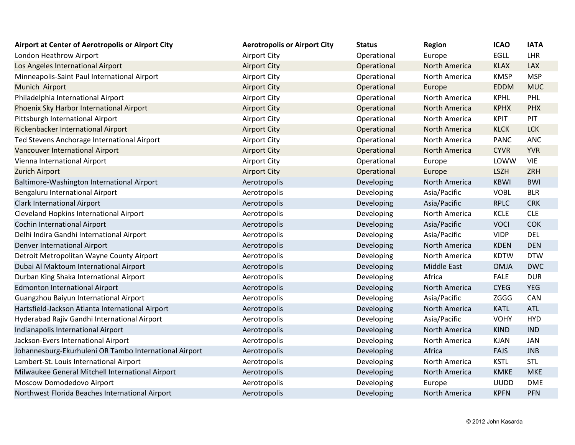| Airport at Center of Aerotropolis or Airport City      | <b>Aerotropolis or Airport City</b> | <b>Status</b> | <b>Region</b>        | <b>ICAO</b> | <b>IATA</b> |
|--------------------------------------------------------|-------------------------------------|---------------|----------------------|-------------|-------------|
| London Heathrow Airport                                | <b>Airport City</b>                 | Operational   | Europe               | <b>EGLL</b> | <b>LHR</b>  |
| Los Angeles International Airport                      | <b>Airport City</b>                 | Operational   | <b>North America</b> | <b>KLAX</b> | <b>LAX</b>  |
| Minneapolis-Saint Paul International Airport           | <b>Airport City</b>                 | Operational   | North America        | <b>KMSP</b> | <b>MSP</b>  |
| Munich Airport                                         | <b>Airport City</b>                 | Operational   | Europe               | <b>EDDM</b> | <b>MUC</b>  |
| Philadelphia International Airport                     | <b>Airport City</b>                 | Operational   | North America        | <b>KPHL</b> | PHL         |
| Phoenix Sky Harbor International Airport               | <b>Airport City</b>                 | Operational   | <b>North America</b> | <b>KPHX</b> | <b>PHX</b>  |
| Pittsburgh International Airport                       | <b>Airport City</b>                 | Operational   | North America        | <b>KPIT</b> | PIT         |
| Rickenbacker International Airport                     | <b>Airport City</b>                 | Operational   | <b>North America</b> | <b>KLCK</b> | <b>LCK</b>  |
| Ted Stevens Anchorage International Airport            | <b>Airport City</b>                 | Operational   | North America        | <b>PANC</b> | <b>ANC</b>  |
| <b>Vancouver International Airport</b>                 | <b>Airport City</b>                 | Operational   | <b>North America</b> | <b>CYVR</b> | <b>YVR</b>  |
| Vienna International Airport                           | <b>Airport City</b>                 | Operational   | Europe               | LOWW        | <b>VIE</b>  |
| <b>Zurich Airport</b>                                  | <b>Airport City</b>                 | Operational   | Europe               | <b>LSZH</b> | ZRH         |
| Baltimore-Washington International Airport             | Aerotropolis                        | Developing    | North America        | <b>KBWI</b> | <b>BWI</b>  |
| Bengaluru International Airport                        | Aerotropolis                        | Developing    | Asia/Pacific         | <b>VOBL</b> | <b>BLR</b>  |
| <b>Clark International Airport</b>                     | Aerotropolis                        | Developing    | Asia/Pacific         | <b>RPLC</b> | <b>CRK</b>  |
| Cleveland Hopkins International Airport                | Aerotropolis                        | Developing    | North America        | <b>KCLE</b> | <b>CLE</b>  |
| <b>Cochin International Airport</b>                    | Aerotropolis                        | Developing    | Asia/Pacific         | <b>VOCI</b> | <b>COK</b>  |
| Delhi Indira Gandhi International Airport              | Aerotropolis                        | Developing    | Asia/Pacific         | <b>VIDP</b> | <b>DEL</b>  |
| Denver International Airport                           | Aerotropolis                        | Developing    | North America        | <b>KDEN</b> | <b>DEN</b>  |
| Detroit Metropolitan Wayne County Airport              | Aerotropolis                        | Developing    | North America        | <b>KDTW</b> | <b>DTW</b>  |
| Dubai Al Maktoum International Airport                 | Aerotropolis                        | Developing    | <b>Middle East</b>   | <b>OMJA</b> | <b>DWC</b>  |
| Durban King Shaka International Airport                | Aerotropolis                        | Developing    | Africa               | <b>FALE</b> | <b>DUR</b>  |
| <b>Edmonton International Airport</b>                  | Aerotropolis                        | Developing    | North America        | <b>CYEG</b> | <b>YEG</b>  |
| Guangzhou Baiyun International Airport                 | Aerotropolis                        | Developing    | Asia/Pacific         | <b>ZGGG</b> | CAN         |
| Hartsfield-Jackson Atlanta International Airport       | Aerotropolis                        | Developing    | North America        | <b>KATL</b> | <b>ATL</b>  |
| Hyderabad Rajiv Gandhi International Airport           | Aerotropolis                        | Developing    | Asia/Pacific         | <b>VOHY</b> | <b>HYD</b>  |
| Indianapolis International Airport                     | Aerotropolis                        | Developing    | North America        | <b>KIND</b> | <b>IND</b>  |
| Jackson-Evers International Airport                    | Aerotropolis                        | Developing    | North America        | <b>KJAN</b> | <b>JAN</b>  |
| Johannesburg-Ekurhuleni OR Tambo International Airport | Aerotropolis                        | Developing    | Africa               | <b>FAJS</b> | <b>JNB</b>  |
| Lambert-St. Louis International Airport                | Aerotropolis                        | Developing    | North America        | <b>KSTL</b> | <b>STL</b>  |
| Milwaukee General Mitchell International Airport       | Aerotropolis                        | Developing    | North America        | <b>KMKE</b> | <b>MKE</b>  |
| Moscow Domodedovo Airport                              | Aerotropolis                        | Developing    | Europe               | <b>UUDD</b> | <b>DME</b>  |
| Northwest Florida Beaches International Airport        | Aerotropolis                        | Developing    | North America        | <b>KPFN</b> | <b>PFN</b>  |